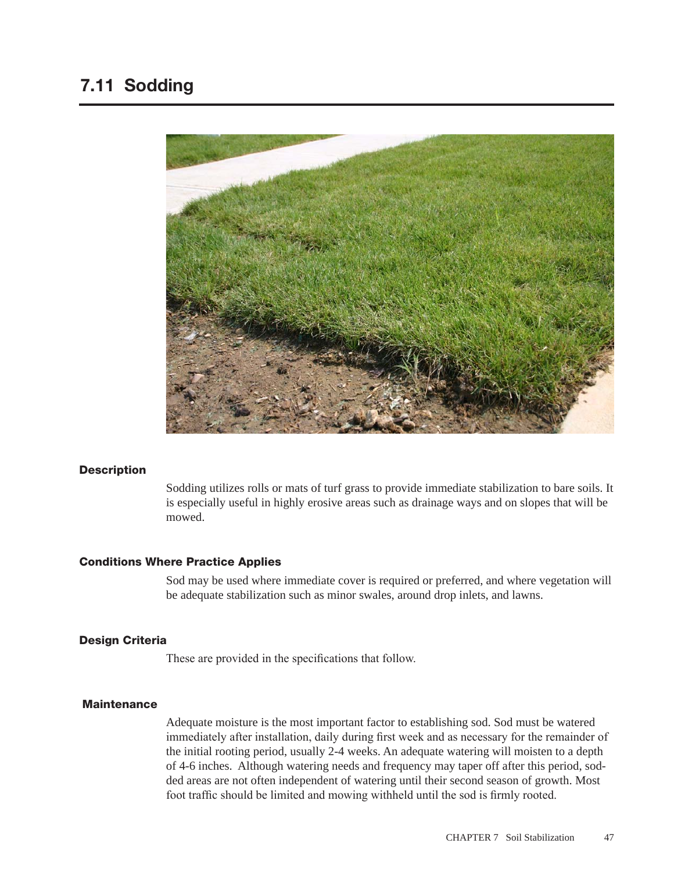

#### **Description**

Sodding utilizes rolls or mats of turf grass to provide immediate stabilization to bare soils. It is especially useful in highly erosive areas such as drainage ways and on slopes that will be mowed.

#### Conditions Where Practice Applies

Sod may be used where immediate cover is required or preferred, and where vegetation will be adequate stabilization such as minor swales, around drop inlets, and lawns.

#### Design Criteria

These are provided in the specifications that follow.

# **Maintenance**

Adequate moisture is the most important factor to establishing sod. Sod must be watered immediately after installation, daily during first week and as necessary for the remainder of the initial rooting period, usually 2-4 weeks. An adequate watering will moisten to a depth of 4-6 inches. Although watering needs and frequency may taper off after this period, sodded areas are not often independent of watering until their second season of growth. Most foot traffic should be limited and mowing withheld until the sod is firmly rooted.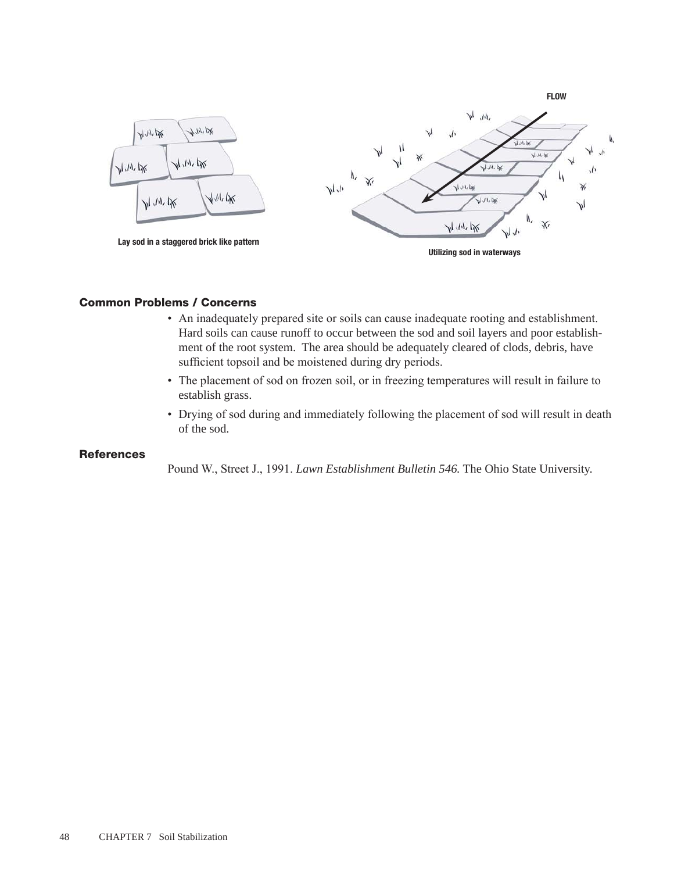

# Common Problems / Concerns

- An inadequately prepared site or soils can cause inadequate rooting and establishment. Hard soils can cause runoff to occur between the sod and soil layers and poor establishment of the root system. The area should be adequately cleared of clods, debris, have sufficient topsoil and be moistened during dry periods.
- The placement of sod on frozen soil, or in freezing temperatures will result in failure to establish grass.
- Drying of sod during and immediately following the placement of sod will result in death of the sod.

## **References**

Pound W., Street J., 1991. *Lawn Establishment Bulletin 546.* The Ohio State University.